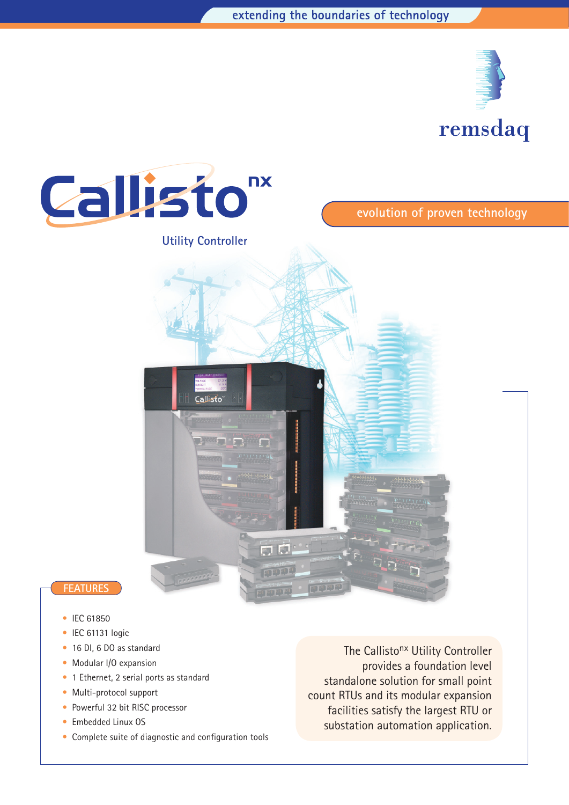



- IEC 61850
- IEC 61131 logic
- 16 DI, 6 DO as standard
- Modular I/O expansion
- 1 Ethernet, 2 serial ports as standard
- Multi-protocol support
- Powerful 32 bit RISC processor
- Embedded Linux OS
- Complete suite of diagnostic and configuration tools

The Callisto<sup>nx</sup> Utility Controller provides a foundation level standalone solution for small point count RTUs and its modular expansion facilities satisfy the largest RTU or substation automation application.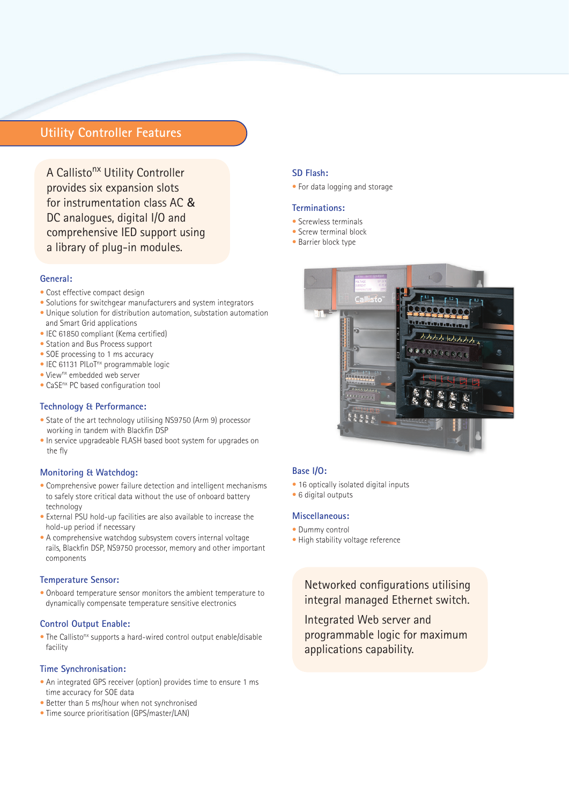# **Utility Controller Features**

A Callisto<sup>nx</sup> Utility Controller provides six expansion slots for instrumentation class AC & DC analogues, digital I/O and comprehensive IED support using a library of plug-in modules.

### **General:**

- Cost effective compact design
- Solutions for switchgear manufacturers and system integrators
- Unique solution for distribution automation, substation automation and Smart Grid applications
- IEC 61850 compliant (Kema certified)
- Station and Bus Process support
- SOE processing to 1 ms accuracy
- IEC 61131 PILoT<sup>nx</sup> programmable logic
- View<sup>nx</sup> embedded web server
- CaSEnx PC based configuration tool

#### **Technology & Performance:**

- State of the art technology utilising NS9750 (Arm 9) processor working in tandem with Blackfin DSP
- In service upgradeable FLASH based boot system for upgrades on the fly

#### **Monitoring & Watchdog:**

- Comprehensive power failure detection and intelligent mechanisms to safely store critical data without the use of onboard battery technology
- External PSU hold-up facilities are also available to increase the hold-up period if necessary
- A comprehensive watchdog subsystem covers internal voltage rails, Blackfin DSP, NS9750 processor, memory and other important components

### **Temperature Sensor:**

• Onboard temperature sensor monitors the ambient temperature to dynamically compensate temperature sensitive electronics

#### **Control Output Enable:**

• The Callisto<sup>nx</sup> supports a hard-wired control output enable/disable facility

### **Time Synchronisation:**

- An integrated GPS receiver (option) provides time to ensure 1 ms time accuracy for SOE data
- Better than 5 ms/hour when not synchronised
- Time source prioritisation (GPS/master/LAN)

### **SD Flash:**

• For data logging and storage

### **Terminations:**

- Screwless terminals
- Screw terminal block
- Barrier block type



### **Base I/O:**

- 16 optically isolated digital inputs
- 6 digital outputs

### **Miscellaneous:**

- Dummy control
- High stability voltage reference

Networked configurations utilising integral managed Ethernet switch.

Integrated Web server and programmable logic for maximum applications capability.